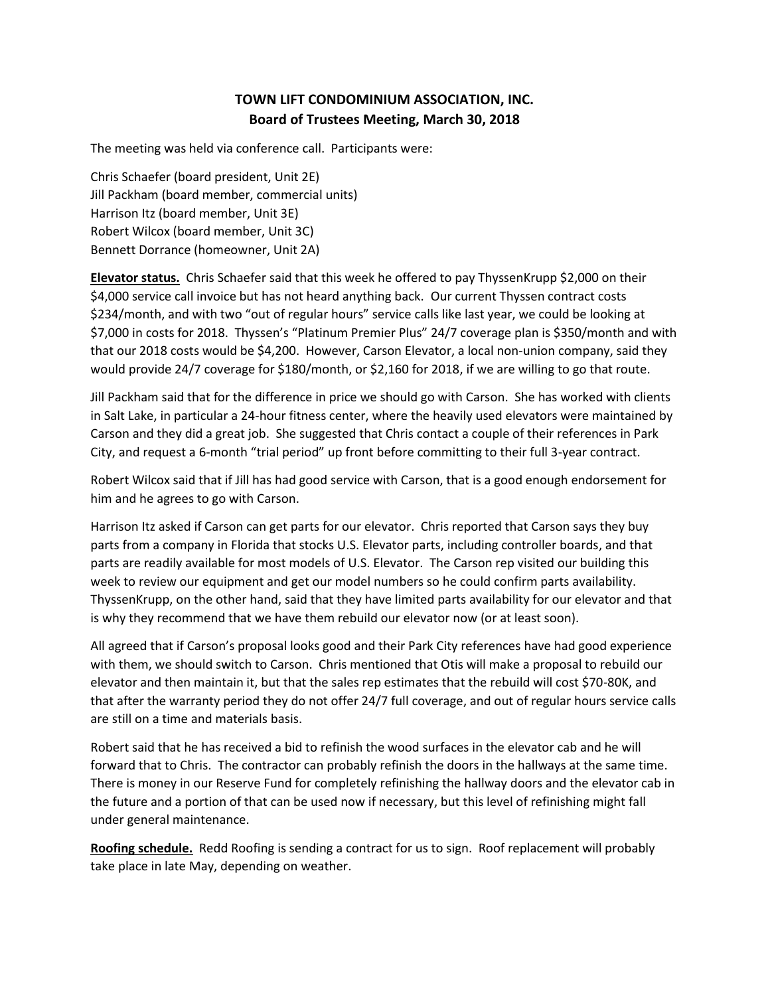# **TOWN LIFT CONDOMINIUM ASSOCIATION, INC. Board of Trustees Meeting, March 30, 2018**

The meeting was held via conference call. Participants were:

Chris Schaefer (board president, Unit 2E) Jill Packham (board member, commercial units) Harrison Itz (board member, Unit 3E) Robert Wilcox (board member, Unit 3C) Bennett Dorrance (homeowner, Unit 2A)

**Elevator status.** Chris Schaefer said that this week he offered to pay ThyssenKrupp \$2,000 on their \$4,000 service call invoice but has not heard anything back. Our current Thyssen contract costs \$234/month, and with two "out of regular hours" service calls like last year, we could be looking at \$7,000 in costs for 2018. Thyssen's "Platinum Premier Plus" 24/7 coverage plan is \$350/month and with that our 2018 costs would be \$4,200. However, Carson Elevator, a local non-union company, said they would provide 24/7 coverage for \$180/month, or \$2,160 for 2018, if we are willing to go that route.

Jill Packham said that for the difference in price we should go with Carson. She has worked with clients in Salt Lake, in particular a 24-hour fitness center, where the heavily used elevators were maintained by Carson and they did a great job. She suggested that Chris contact a couple of their references in Park City, and request a 6-month "trial period" up front before committing to their full 3-year contract.

Robert Wilcox said that if Jill has had good service with Carson, that is a good enough endorsement for him and he agrees to go with Carson.

Harrison Itz asked if Carson can get parts for our elevator. Chris reported that Carson says they buy parts from a company in Florida that stocks U.S. Elevator parts, including controller boards, and that parts are readily available for most models of U.S. Elevator. The Carson rep visited our building this week to review our equipment and get our model numbers so he could confirm parts availability. ThyssenKrupp, on the other hand, said that they have limited parts availability for our elevator and that is why they recommend that we have them rebuild our elevator now (or at least soon).

All agreed that if Carson's proposal looks good and their Park City references have had good experience with them, we should switch to Carson. Chris mentioned that Otis will make a proposal to rebuild our elevator and then maintain it, but that the sales rep estimates that the rebuild will cost \$70-80K, and that after the warranty period they do not offer 24/7 full coverage, and out of regular hours service calls are still on a time and materials basis.

Robert said that he has received a bid to refinish the wood surfaces in the elevator cab and he will forward that to Chris. The contractor can probably refinish the doors in the hallways at the same time. There is money in our Reserve Fund for completely refinishing the hallway doors and the elevator cab in the future and a portion of that can be used now if necessary, but this level of refinishing might fall under general maintenance.

**Roofing schedule.** Redd Roofing is sending a contract for us to sign. Roof replacement will probably take place in late May, depending on weather.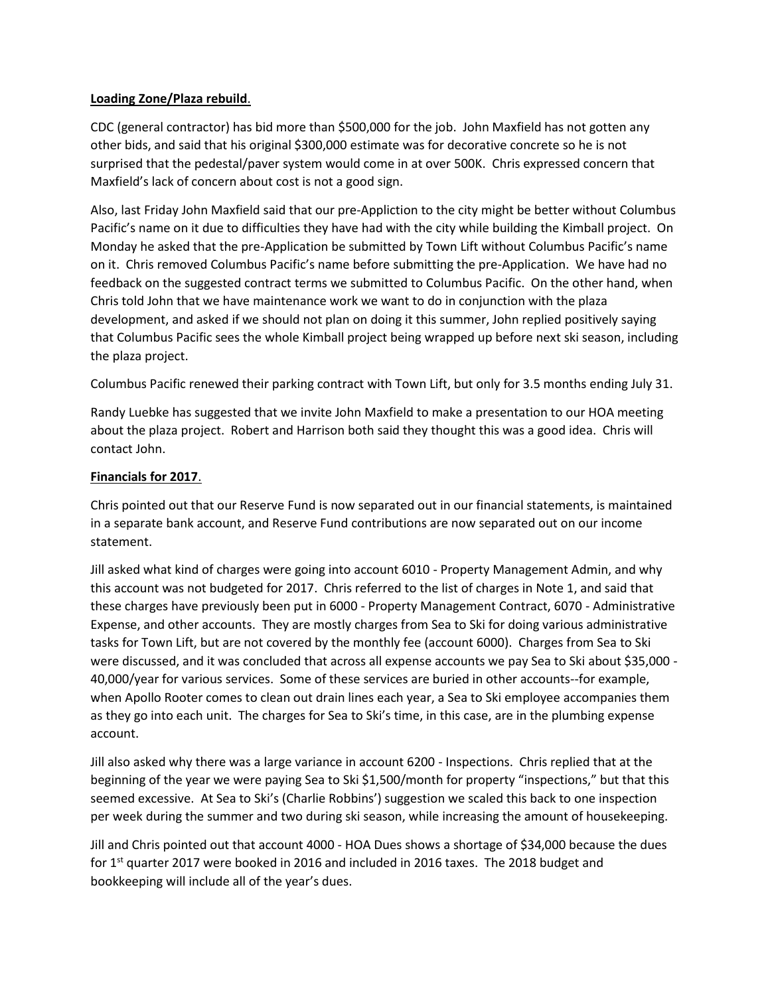### **Loading Zone/Plaza rebuild**.

CDC (general contractor) has bid more than \$500,000 for the job. John Maxfield has not gotten any other bids, and said that his original \$300,000 estimate was for decorative concrete so he is not surprised that the pedestal/paver system would come in at over 500K. Chris expressed concern that Maxfield's lack of concern about cost is not a good sign.

Also, last Friday John Maxfield said that our pre-Appliction to the city might be better without Columbus Pacific's name on it due to difficulties they have had with the city while building the Kimball project. On Monday he asked that the pre-Application be submitted by Town Lift without Columbus Pacific's name on it. Chris removed Columbus Pacific's name before submitting the pre-Application. We have had no feedback on the suggested contract terms we submitted to Columbus Pacific. On the other hand, when Chris told John that we have maintenance work we want to do in conjunction with the plaza development, and asked if we should not plan on doing it this summer, John replied positively saying that Columbus Pacific sees the whole Kimball project being wrapped up before next ski season, including the plaza project.

Columbus Pacific renewed their parking contract with Town Lift, but only for 3.5 months ending July 31.

Randy Luebke has suggested that we invite John Maxfield to make a presentation to our HOA meeting about the plaza project. Robert and Harrison both said they thought this was a good idea. Chris will contact John.

## **Financials for 2017**.

Chris pointed out that our Reserve Fund is now separated out in our financial statements, is maintained in a separate bank account, and Reserve Fund contributions are now separated out on our income statement.

Jill asked what kind of charges were going into account 6010 - Property Management Admin, and why this account was not budgeted for 2017. Chris referred to the list of charges in Note 1, and said that these charges have previously been put in 6000 - Property Management Contract, 6070 - Administrative Expense, and other accounts. They are mostly charges from Sea to Ski for doing various administrative tasks for Town Lift, but are not covered by the monthly fee (account 6000). Charges from Sea to Ski were discussed, and it was concluded that across all expense accounts we pay Sea to Ski about \$35,000 - 40,000/year for various services. Some of these services are buried in other accounts--for example, when Apollo Rooter comes to clean out drain lines each year, a Sea to Ski employee accompanies them as they go into each unit. The charges for Sea to Ski's time, in this case, are in the plumbing expense account.

Jill also asked why there was a large variance in account 6200 - Inspections. Chris replied that at the beginning of the year we were paying Sea to Ski \$1,500/month for property "inspections," but that this seemed excessive. At Sea to Ski's (Charlie Robbins') suggestion we scaled this back to one inspection per week during the summer and two during ski season, while increasing the amount of housekeeping.

Jill and Chris pointed out that account 4000 - HOA Dues shows a shortage of \$34,000 because the dues for  $1<sup>st</sup>$  quarter 2017 were booked in 2016 and included in 2016 taxes. The 2018 budget and bookkeeping will include all of the year's dues.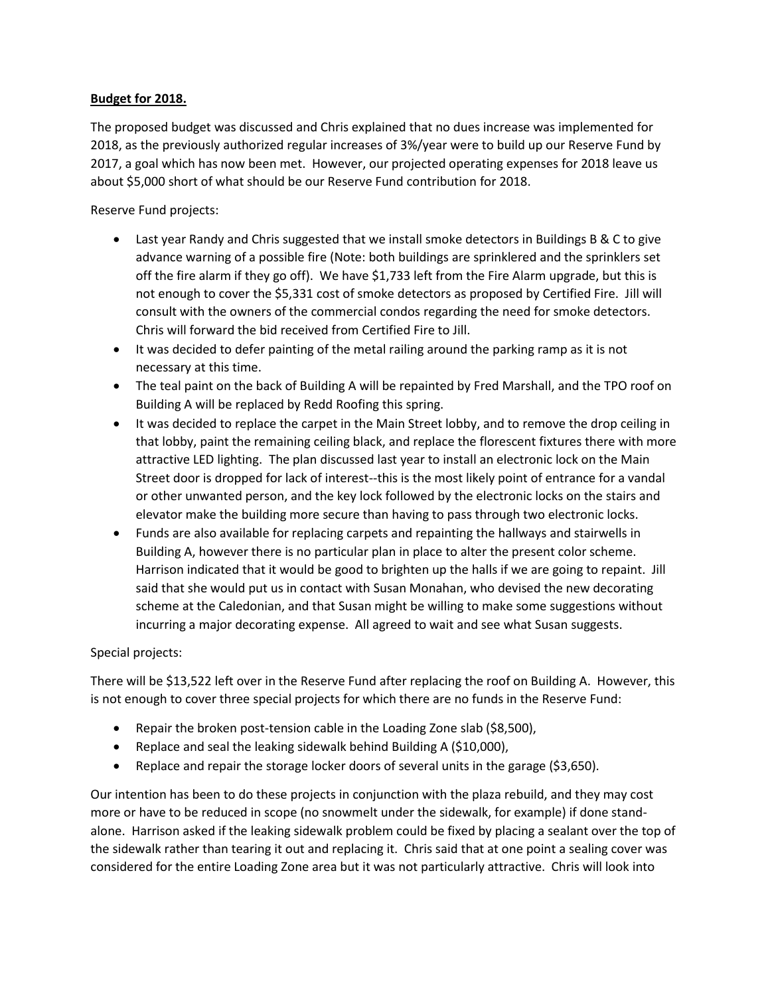### **Budget for 2018.**

The proposed budget was discussed and Chris explained that no dues increase was implemented for 2018, as the previously authorized regular increases of 3%/year were to build up our Reserve Fund by 2017, a goal which has now been met. However, our projected operating expenses for 2018 leave us about \$5,000 short of what should be our Reserve Fund contribution for 2018.

Reserve Fund projects:

- Last year Randy and Chris suggested that we install smoke detectors in Buildings B & C to give advance warning of a possible fire (Note: both buildings are sprinklered and the sprinklers set off the fire alarm if they go off). We have \$1,733 left from the Fire Alarm upgrade, but this is not enough to cover the \$5,331 cost of smoke detectors as proposed by Certified Fire. Jill will consult with the owners of the commercial condos regarding the need for smoke detectors. Chris will forward the bid received from Certified Fire to Jill.
- It was decided to defer painting of the metal railing around the parking ramp as it is not necessary at this time.
- The teal paint on the back of Building A will be repainted by Fred Marshall, and the TPO roof on Building A will be replaced by Redd Roofing this spring.
- It was decided to replace the carpet in the Main Street lobby, and to remove the drop ceiling in that lobby, paint the remaining ceiling black, and replace the florescent fixtures there with more attractive LED lighting. The plan discussed last year to install an electronic lock on the Main Street door is dropped for lack of interest--this is the most likely point of entrance for a vandal or other unwanted person, and the key lock followed by the electronic locks on the stairs and elevator make the building more secure than having to pass through two electronic locks.
- Funds are also available for replacing carpets and repainting the hallways and stairwells in Building A, however there is no particular plan in place to alter the present color scheme. Harrison indicated that it would be good to brighten up the halls if we are going to repaint. Jill said that she would put us in contact with Susan Monahan, who devised the new decorating scheme at the Caledonian, and that Susan might be willing to make some suggestions without incurring a major decorating expense. All agreed to wait and see what Susan suggests.

# Special projects:

There will be \$13,522 left over in the Reserve Fund after replacing the roof on Building A. However, this is not enough to cover three special projects for which there are no funds in the Reserve Fund:

- Repair the broken post-tension cable in the Loading Zone slab (\$8,500),
- Replace and seal the leaking sidewalk behind Building A (\$10,000),
- Replace and repair the storage locker doors of several units in the garage (\$3,650).

Our intention has been to do these projects in conjunction with the plaza rebuild, and they may cost more or have to be reduced in scope (no snowmelt under the sidewalk, for example) if done standalone. Harrison asked if the leaking sidewalk problem could be fixed by placing a sealant over the top of the sidewalk rather than tearing it out and replacing it. Chris said that at one point a sealing cover was considered for the entire Loading Zone area but it was not particularly attractive. Chris will look into